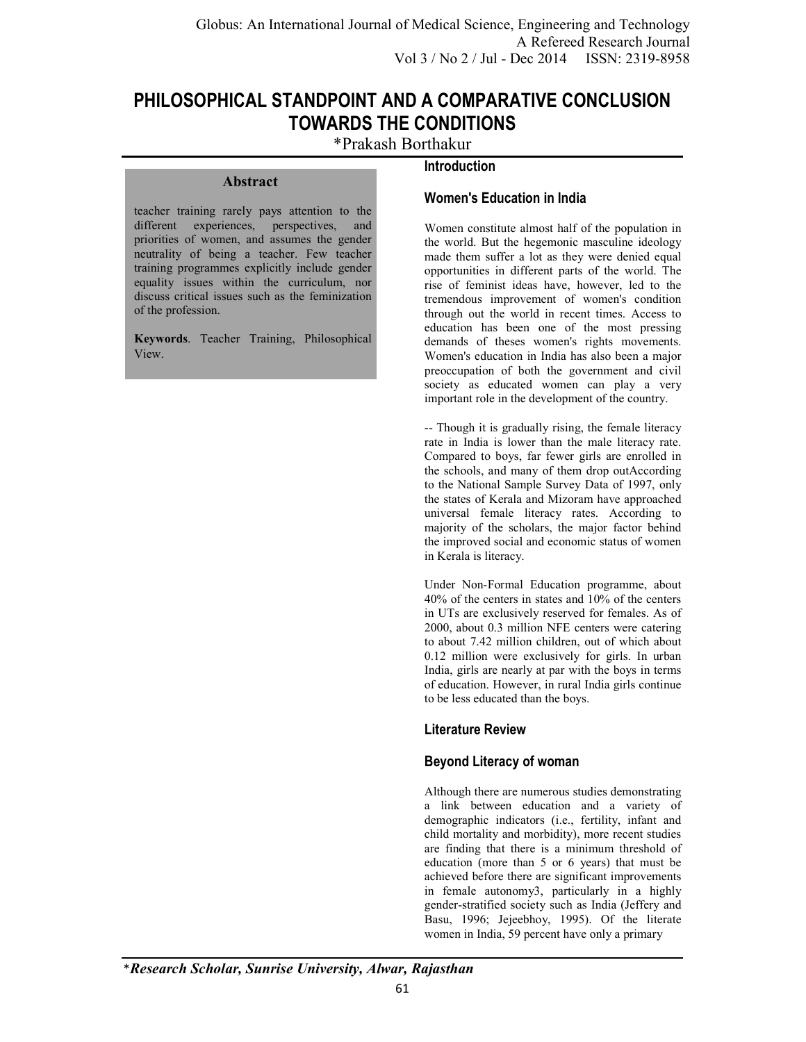**Introduction** 

# **PHILOSOPHICAL STANDPOINT AND A COMPARATIVE CONCLUSION TOWARDS THE CONDITIONS**

\*Prakash Borthakur

### **Abstract**

teacher training rarely pays attention to the different experiences, perspectives, and priorities of women, and assumes the gender neutrality of being a teacher. Few teacher training programmes explicitly include gender equality issues within the curriculum, nor discuss critical issues such as the feminization of the profession.

**Keywords**. Teacher Training, Philosophical View.

# **Women's Education in India**

Women constitute almost half of the population in the world. But the hegemonic masculine ideology made them suffer a lot as they were denied equal opportunities in different parts of the world. The rise of feminist ideas have, however, led to the tremendous improvement of women's condition through out the world in recent times. Access to education has been one of the most pressing demands of theses women's rights movements. Women's education in India has also been a major preoccupation of both the government and civil society as educated women can play a very important role in the development of the country.

-- Though it is gradually rising, the female literacy rate in India is lower than the male literacy rate. Compared to boys, far fewer girls are enrolled in the schools, and many of them drop outAccording to the National Sample Survey Data of 1997, only the states of Kerala and Mizoram have approached universal female literacy rates. According to majority of the scholars, the major factor behind the improved social and economic status of women in Kerala is literacy.

Under Non-Formal Education programme, about 40% of the centers in states and 10% of the centers in UTs are exclusively reserved for females. As of 2000, about 0.3 million NFE centers were catering to about 7.42 million children, out of which about 0.12 million were exclusively for girls. In urban India, girls are nearly at par with the boys in terms of education. However, in rural India girls continue to be less educated than the boys.

# **Literature Review**

# **Beyond Literacy of woman**

Although there are numerous studies demonstrating a link between education and a variety of demographic indicators (i.e., fertility, infant and child mortality and morbidity), more recent studies are finding that there is a minimum threshold of education (more than 5 or 6 years) that must be achieved before there are significant improvements in female autonomy3, particularly in a highly gender-stratified society such as India (Jeffery and Basu, 1996; Jejeebhoy, 1995). Of the literate women in India, 59 percent have only a primary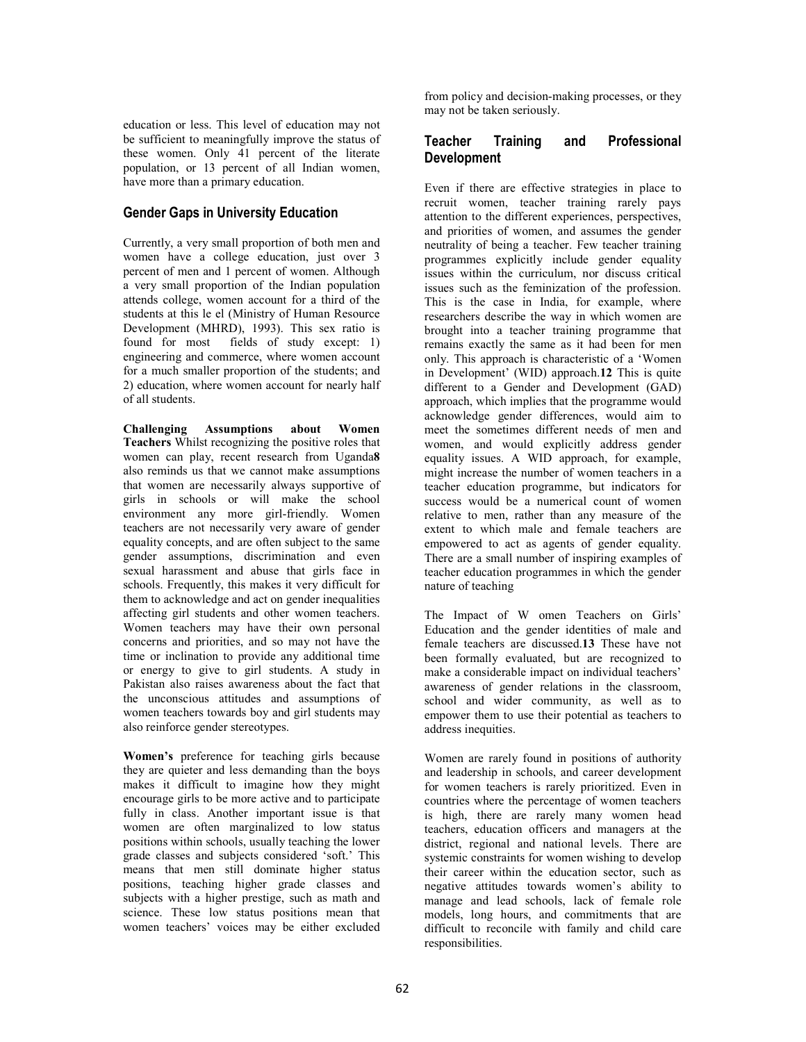education or less. This level of education may not be sufficient to meaningfully improve the status of these women. Only 41 percent of the literate population, or 13 percent of all Indian women, have more than a primary education.

# **Gender Gaps in University Education**

Currently, a very small proportion of both men and women have a college education, just over 3 percent of men and 1 percent of women. Although a very small proportion of the Indian population attends college, women account for a third of the students at this le el (Ministry of Human Resource Development (MHRD), 1993). This sex ratio is<br>found for most fields of study except: 1) fields of study except:  $1$ ) engineering and commerce, where women account for a much smaller proportion of the students; and 2) education, where women account for nearly half of all students.

**Challenging Assumptions about Women Teachers** Whilst recognizing the positive roles that women can play, recent research from Uganda**8**  also reminds us that we cannot make assumptions that women are necessarily always supportive of girls in schools or will make the school environment any more girl-friendly. Women teachers are not necessarily very aware of gender equality concepts, and are often subject to the same gender assumptions, discrimination and even sexual harassment and abuse that girls face in schools. Frequently, this makes it very difficult for them to acknowledge and act on gender inequalities affecting girl students and other women teachers. Women teachers may have their own personal concerns and priorities, and so may not have the time or inclination to provide any additional time or energy to give to girl students. A study in Pakistan also raises awareness about the fact that the unconscious attitudes and assumptions of women teachers towards boy and girl students may also reinforce gender stereotypes.

**Women's** preference for teaching girls because they are quieter and less demanding than the boys makes it difficult to imagine how they might encourage girls to be more active and to participate fully in class. Another important issue is that women are often marginalized to low status positions within schools, usually teaching the lower grade classes and subjects considered 'soft.' This means that men still dominate higher status positions, teaching higher grade classes and subjects with a higher prestige, such as math and science. These low status positions mean that women teachers' voices may be either excluded from policy and decision-making processes, or they may not be taken seriously.

# **Teacher Training and Professional Development**

Even if there are effective strategies in place to recruit women, teacher training rarely pays attention to the different experiences, perspectives, and priorities of women, and assumes the gender neutrality of being a teacher. Few teacher training programmes explicitly include gender equality issues within the curriculum, nor discuss critical issues such as the feminization of the profession. This is the case in India, for example, where researchers describe the way in which women are brought into a teacher training programme that remains exactly the same as it had been for men only. This approach is characteristic of a 'Women in Development' (WID) approach.**12** This is quite different to a Gender and Development (GAD) approach, which implies that the programme would acknowledge gender differences, would aim to meet the sometimes different needs of men and women, and would explicitly address gender equality issues. A WID approach, for example, might increase the number of women teachers in a teacher education programme, but indicators for success would be a numerical count of women relative to men, rather than any measure of the extent to which male and female teachers are empowered to act as agents of gender equality. There are a small number of inspiring examples of teacher education programmes in which the gender nature of teaching

The Impact of W omen Teachers on Girls' Education and the gender identities of male and female teachers are discussed.**13** These have not been formally evaluated, but are recognized to make a considerable impact on individual teachers' awareness of gender relations in the classroom, school and wider community, as well as to empower them to use their potential as teachers to address inequities.

Women are rarely found in positions of authority and leadership in schools, and career development for women teachers is rarely prioritized. Even in countries where the percentage of women teachers is high, there are rarely many women head teachers, education officers and managers at the district, regional and national levels. There are systemic constraints for women wishing to develop their career within the education sector, such as negative attitudes towards women's ability to manage and lead schools, lack of female role models, long hours, and commitments that are difficult to reconcile with family and child care responsibilities.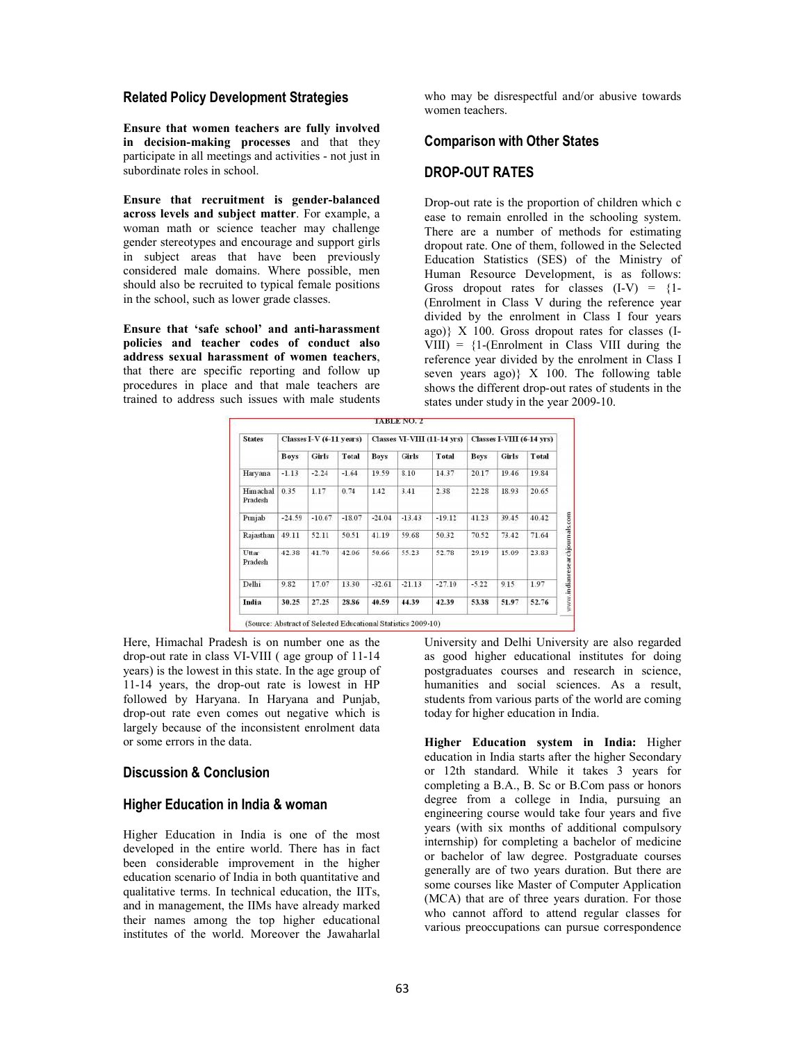#### **Related Policy Development Strategies**

**Ensure that women teachers are fully involved in decision-making processes** and that they participate in all meetings and activities - not just in subordinate roles in school.

**Ensure that recruitment is gender-balanced across levels and subject matter**. For example, a woman math or science teacher may challenge gender stereotypes and encourage and support girls in subject areas that have been previously considered male domains. Where possible, men should also be recruited to typical female positions in the school, such as lower grade classes.

**Ensure that 'safe school' and anti-harassment policies and teacher codes of conduct also address sexual harassment of women teachers**, that there are specific reporting and follow up procedures in place and that male teachers are trained to address such issues with male students who may be disrespectful and/or abusive towards women teachers.

## **Comparison with Other States**

## **DROP-OUT RATES**

Drop-out rate is the proportion of children which c ease to remain enrolled in the schooling system. There are a number of methods for estimating dropout rate. One of them, followed in the Selected Education Statistics (SES) of the Ministry of Human Resource Development, is as follows: Gross dropout rates for classes  $(I-V) = {1-$ (Enrolment in Class V during the reference year divided by the enrolment in Class I four years ago)} Χ 100. Gross dropout rates for classes (I- $VIII$ ) =  ${1-(Enrolment in Class VIII during the)}$ reference year divided by the enrolment in Class I seven years ago)} X 100. The following table shows the different drop-out rates of students in the states under study in the year 2009-10.

| <b>States</b>              | Classes I-V (6-11 years) |          |          | <b>Classes VI-VIII (11-14 yrs)</b> |          |          | <b>Classes I-VIII (6-14 yrs)</b> |       |       |
|----------------------------|--------------------------|----------|----------|------------------------------------|----------|----------|----------------------------------|-------|-------|
|                            | <b>Boys</b>              | Girls    | Total    | <b>Boys</b>                        | Girls    | Total    | <b>Boys</b>                      | Girls | Total |
| Harvana                    | $-1.13$                  | $-2.24$  | $-1.64$  | 19.59                              | 8.10     | 14.37    | 20.17                            | 19.46 | 19.84 |
| <b>Himachal</b><br>Pradesh | 0.35                     | 1.17     | 0.74     | 1.42                               | 3.41     | 2.38     | 22.28                            | 18.93 | 20.65 |
| Punjab                     | $-24.59$                 | $-10.67$ | $-18.07$ | $-24.04$                           | $-13.43$ | $-19.12$ | 41.23                            | 39.45 | 40.42 |
| Rajasthan                  | 49.11                    | 52.11    | 50.51    | 41.19                              | 59.68    | 50.32    | 70.52                            | 73.42 | 71.64 |
| Uttar<br>Pradesh           | 42.38                    | 41.70    | 42.06    | 50.66                              | 55.23    | 52.78    | 29.19                            | 15.09 | 23.83 |
| Delhi                      | 9.82                     | 17.07    | 13.30    | $-32.61$                           | $-21.13$ | $-27.10$ | $-5.22$                          | 9.15  | 1.97  |
| India                      | 30.25                    | 27.25    | 28.86    | 40.59                              | 44.39    | 42.39    | 53.38                            | 51.97 | 52.76 |

Here, Himachal Pradesh is on number one as the drop-out rate in class VI-VIII ( age group of 11-14 years) is the lowest in this state. In the age group of 11-14 years, the drop-out rate is lowest in HP followed by Haryana. In Haryana and Punjab, drop-out rate even comes out negative which is largely because of the inconsistent enrolment data or some errors in the data.

## **Discussion & Conclusion**

## **Higher Education in India & woman**

Higher Education in India is one of the most developed in the entire world. There has in fact been considerable improvement in the higher education scenario of India in both quantitative and qualitative terms. In technical education, the IITs, and in management, the IIMs have already marked their names among the top higher educational institutes of the world. Moreover the Jawaharlal

University and Delhi University are also regarded as good higher educational institutes for doing postgraduates courses and research in science, humanities and social sciences. As a result, students from various parts of the world are coming today for higher education in India.

**Higher Education system in India:** Higher education in India starts after the higher Secondary or 12th standard. While it takes 3 years for completing a B.A., B. Sc or B.Com pass or honors degree from a college in India, pursuing an engineering course would take four years and five years (with six months of additional compulsory internship) for completing a bachelor of medicine or bachelor of law degree. Postgraduate courses generally are of two years duration. But there are some courses like Master of Computer Application (MCA) that are of three years duration. For those who cannot afford to attend regular classes for various preoccupations can pursue correspondence